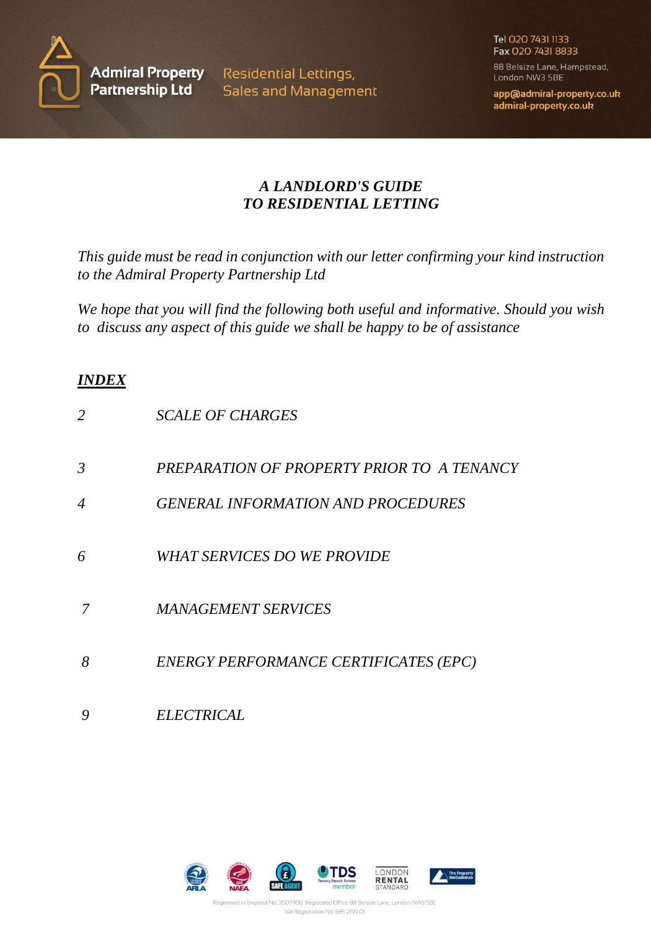

**Residential Lettings, Sales and Management**  Tel 020 7431 1133 Fax 020 7431 8833

88 Belsize Lane, Hampstead, London NW3 5BE

app@admiral-property.co.uk admiral-property.co.uk

# *A LANDLORD'S GUIDE TO RESIDENTIAL LETTING*

*This guide must be read in conjunction with our letter confirming your kind instruction to the Admiral Property Partnership Ltd*

*We hope that you will find the following both useful and informative. Should you wish to discuss any aspect of this guide we shall be happy to be of assistance*

# *INDEX*

| 2              | <b>SCALE OF CHARGES</b>                    |
|----------------|--------------------------------------------|
| $\mathfrak{Z}$ | PREPARATION OF PROPERTY PRIOR TO A TENANCY |
| 4              | <b>GENERAL INFORMATION AND PROCEDURES</b>  |
| 6              | WHAT SERVICES DO WE PROVIDE                |
| 7              | <b>MANAGEMENT SERVICES</b>                 |
| 8              | ENERGY PERFORMANCE CERTIFICATES (EPC)      |
|                | <i>ELECTRICAL</i>                          |

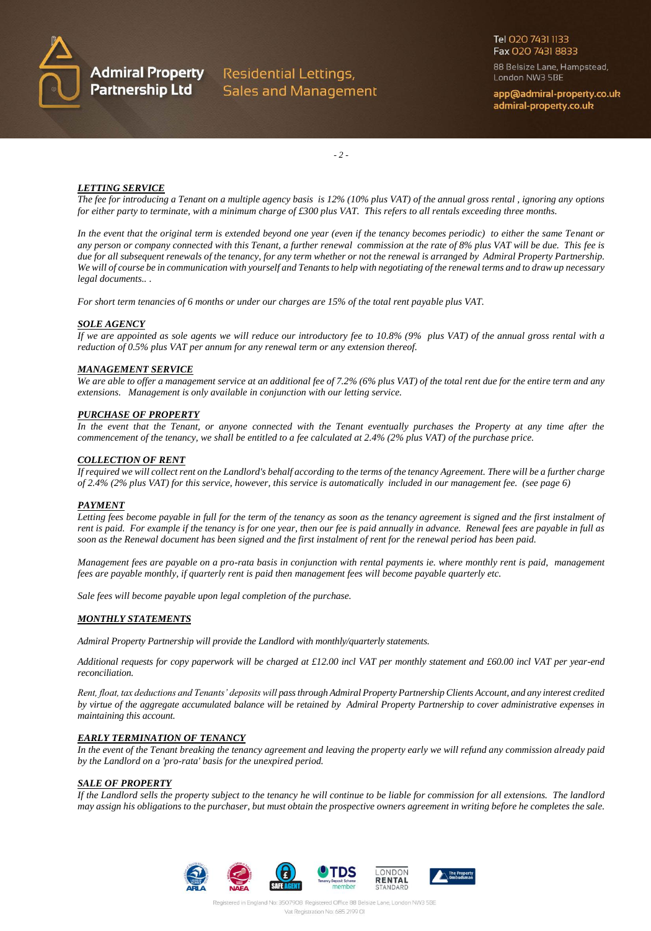

**Admiral Property** Residential Lettings, Partnership Ltd Sales and Management Tel 020 7431 1133 Fax 020 7431 8833

88 Belsize Lane, Hampstead, London NW3 5BE

app@admiral-property.co.uk admiral-property.co.uk

*- 2 -*

#### *LETTING SERVICE*

*The fee for introducing a Tenant on a multiple agency basis is 12% (10% plus VAT) of the annual gross rental , ignoring any options for either party to terminate, with a minimum charge of £300 plus VAT. This refers to all rentals exceeding three months.*

*In the event that the original term is extended beyond one year (even if the tenancy becomes periodic) to either the same Tenant or any person or company connected with this Tenant, a further renewal commission at the rate of 8% plus VAT will be due. This fee is due for all subsequent renewals of the tenancy, for any term whether or not the renewal is arranged by Admiral Property Partnership. We will of course be in communication with yourself and Tenants to help with negotiating of the renewal terms and to draw up necessary legal documents.. .*

*For short term tenancies of 6 months or under our charges are 15% of the total rent payable plus VAT.*

#### *SOLE AGENCY*

*If we are appointed as sole agents we will reduce our introductory fee to 10.8% (9% plus VAT) of the annual gross rental with a reduction of 0.5% plus VAT per annum for any renewal term or any extension thereof.*

#### *MANAGEMENT SERVICE*

*We are able to offer a management service at an additional fee of 7.2% (6% plus VAT) of the total rent due for the entire term and any extensions. Management is only available in conjunction with our letting service.*

#### *PURCHASE OF PROPERTY*

*In the event that the Tenant, or anyone connected with the Tenant eventually purchases the Property at any time after the commencement of the tenancy, we shall be entitled to a fee calculated at 2.4% (2% plus VAT) of the purchase price.*

#### *COLLECTION OF RENT*

*If required we will collect rent on the Landlord's behalf according to the terms of the tenancy Agreement. There will be a further charge of 2.4% (2% plus VAT) for this service, however, this service is automatically included in our management fee. (see page 6)*

#### *PAYMENT*

Letting fees become payable in full for the term of the tenancy as soon as the tenancy agreement is signed and the first instalment of *rent is paid. For example if the tenancy is for one year, then our fee is paid annually in advance. Renewal fees are payable in full as soon as the Renewal document has been signed and the first instalment of rent for the renewal period has been paid.*

*Management fees are payable on a pro-rata basis in conjunction with rental payments ie. where monthly rent is paid, management fees are payable monthly, if quarterly rent is paid then management fees will become payable quarterly etc.*

*Sale fees will become payable upon legal completion of the purchase.*

# *MONTHLY STATEMENTS*

*Admiral Property Partnership will provide the Landlord with monthly/quarterly statements.*

*Additional requests for copy paperwork will be charged at £12.00 incl VAT per monthly statement and £60.00 incl VAT per year-end reconciliation.*

*Rent, float, tax deductions and Tenants' deposits will pass through Admiral Property Partnership Clients Account, and any interest credited by virtue of the aggregate accumulated balance will be retained by Admiral Property Partnership to cover administrative expenses in maintaining this account.*

# *EARLY TERMINATION OF TENANCY*

*In the event of the Tenant breaking the tenancy agreement and leaving the property early we will refund any commission already paid by the Landlord on a 'pro-rata' basis for the unexpired period.*

#### *SALE OF PROPERTY*

*If the Landlord sells the property subject to the tenancy he will continue to be liable for commission for all extensions. The landlord may assign his obligations to the purchaser, but must obtain the prospective owners agreement in writing before he completes the sale.*

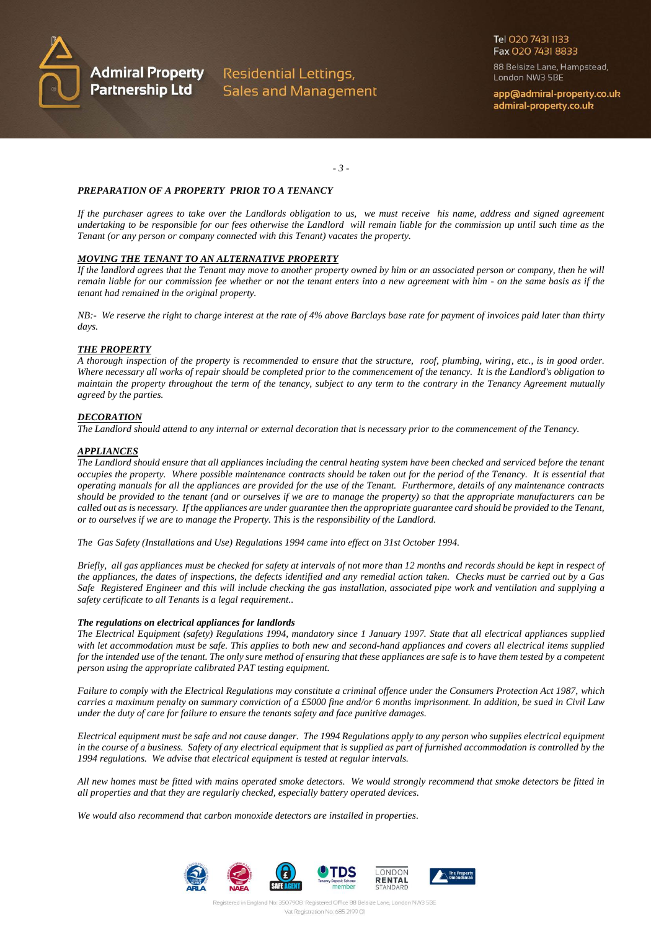

**Admiral Property** Residential Lettings, **Sales and Management**  Tel 020 7431 1133 Fax 020 7431 8833

88 Belsize Lane, Hampstead, London NW3 5BE

app@admiral-property.co.uk admiral-property.co.uk

*- 3 -*

#### *PREPARATION OF A PROPERTY PRIOR TO A TENANCY*

*If the purchaser agrees to take over the Landlords obligation to us, we must receive his name, address and signed agreement undertaking to be responsible for our fees otherwise the Landlord will remain liable for the commission up until such time as the Tenant (or any person or company connected with this Tenant) vacates the property.*

# *MOVING THE TENANT TO AN ALTERNATIVE PROPERTY*

*If the landlord agrees that the Tenant may move to another property owned by him or an associated person or company, then he will remain liable for our commission fee whether or not the tenant enters into a new agreement with him - on the same basis as if the tenant had remained in the original property.*

*NB:- We reserve the right to charge interest at the rate of 4% above Barclays base rate for payment of invoices paid later than thirty days.*

#### *THE PROPERTY*

*A thorough inspection of the property is recommended to ensure that the structure, roof, plumbing, wiring, etc., is in good order. Where necessary all works of repair should be completed prior to the commencement of the tenancy. It is the Landlord's obligation to maintain the property throughout the term of the tenancy, subject to any term to the contrary in the Tenancy Agreement mutually agreed by the parties.*

#### *DECORATION*

*The Landlord should attend to any internal or external decoration that is necessary prior to the commencement of the Tenancy.*

#### *APPLIANCES*

*The Landlord should ensure that all appliances including the central heating system have been checked and serviced before the tenant occupies the property. Where possible maintenance contracts should be taken out for the period of the Tenancy. It is essential that operating manuals for all the appliances are provided for the use of the Tenant. Furthermore, details of any maintenance contracts should be provided to the tenant (and or ourselves if we are to manage the property) so that the appropriate manufacturers can be called out as is necessary. If the appliances are under guarantee then the appropriate guarantee card should be provided to the Tenant, or to ourselves if we are to manage the Property. This is the responsibility of the Landlord.*

*The Gas Safety (Installations and Use) Regulations 1994 came into effect on 31st October 1994.*

*Briefly, all gas appliances must be checked for safety at intervals of not more than 12 months and records should be kept in respect of the appliances, the dates of inspections, the defects identified and any remedial action taken. Checks must be carried out by a Gas Safe Registered Engineer and this will include checking the gas installation, associated pipe work and ventilation and supplying a safety certificate to all Tenants is a legal requirement..*

#### *The regulations on electrical appliances for landlords*

*The Electrical Equipment (safety) Regulations 1994, mandatory since 1 January 1997. State that all electrical appliances supplied with let accommodation must be safe. This applies to both new and second-hand appliances and covers all electrical items supplied for the intended use of the tenant. The only sure method of ensuring that these appliances are safe is to have them tested by a competent person using the appropriate calibrated PAT testing equipment.*

*Failure to comply with the Electrical Regulations may constitute a criminal offence under the Consumers Protection Act 1987, which carries a maximum penalty on summary conviction of a £5000 fine and/or 6 months imprisonment. In addition, be sued in Civil Law under the duty of care for failure to ensure the tenants safety and face punitive damages.*

*Electrical equipment must be safe and not cause danger. The 1994 Regulations apply to any person who supplies electrical equipment in the course of a business. Safety of any electrical equipment that is supplied as part of furnished accommodation is controlled by the 1994 regulations. We advise that electrical equipment is tested at regular intervals.*

*All new homes must be fitted with mains operated smoke detectors. We would strongly recommend that smoke detectors be fitted in all properties and that they are regularly checked, especially battery operated devices.*

*We would also recommend that carbon monoxide detectors are installed in properties.*

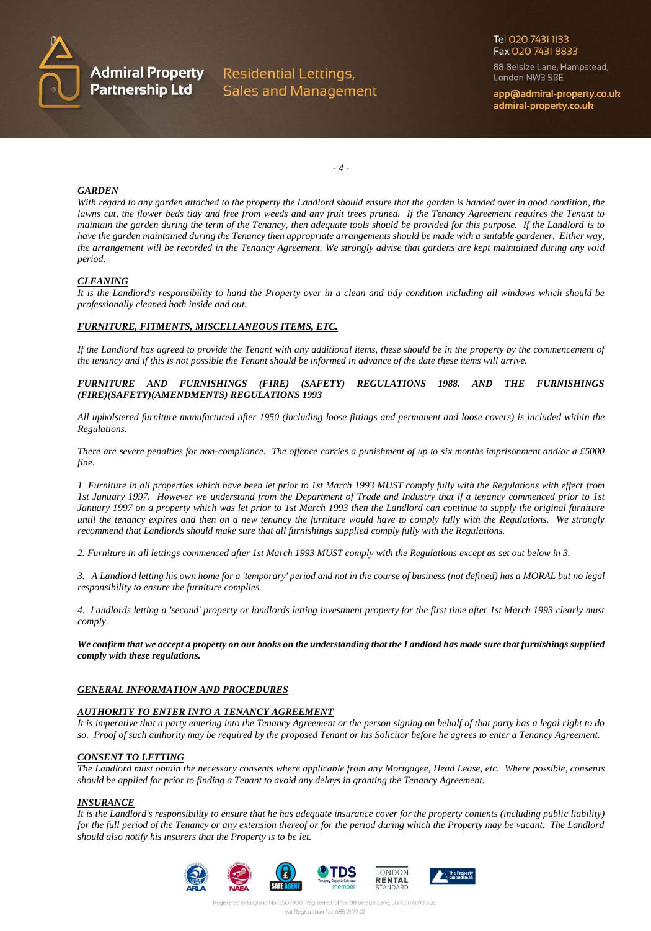

**Admiral Property** Residential Lettings, Partnership Ltd Sales and Management 88 Belsize Lane, Hampstead, London NW3 5BE

app@admiral-property.co.uk admiral-property.co.uk

*- 4 -*

#### *GARDEN*

*With regard to any garden attached to the property the Landlord should ensure that the garden is handed over in good condition, the lawns cut, the flower beds tidy and free from weeds and any fruit trees pruned. If the Tenancy Agreement requires the Tenant to maintain the garden during the term of the Tenancy, then adequate tools should be provided for this purpose. If the Landlord is to have the garden maintained during the Tenancy then appropriate arrangements should be made with a suitable gardener. Either way, the arrangement will be recorded in the Tenancy Agreement. We strongly advise that gardens are kept maintained during any void period.*

# *CLEANING*

*It is the Landlord's responsibility to hand the Property over in a clean and tidy condition including all windows which should be professionally cleaned both inside and out.*

# *FURNITURE, FITMENTS, MISCELLANEOUS ITEMS, ETC.*

*If the Landlord has agreed to provide the Tenant with any additional items, these should be in the property by the commencement of the tenancy and if this is not possible the Tenant should be informed in advance of the date these items will arrive.*

*FURNITURE AND FURNISHINGS (FIRE) (SAFETY) REGULATIONS 1988. AND THE FURNISHINGS (FIRE)(SAFETY)(AMENDMENTS) REGULATIONS 1993*

*All upholstered furniture manufactured after 1950 (including loose fittings and permanent and loose covers) is included within the Regulations.*

*There are severe penalties for non-compliance. The offence carries a punishment of up to six months imprisonment and/or a £5000 fine.*

*1 Furniture in all properties which have been let prior to 1st March 1993 MUST comply fully with the Regulations with effect from 1st January 1997. However we understand from the Department of Trade and Industry that if a tenancy commenced prior to 1st January 1997 on a property which was let prior to 1st March 1993 then the Landlord can continue to supply the original furniture until the tenancy expires and then on a new tenancy the furniture would have to comply fully with the Regulations. We strongly recommend that Landlords should make sure that all furnishings supplied comply fully with the Regulations.*

*2. Furniture in all lettings commenced after 1st March 1993 MUST comply with the Regulations except as set out below in 3.*

*3. A Landlord letting his own home for a 'temporary' period and not in the course of business (not defined) has a MORAL but no legal responsibility to ensure the furniture complies.*

*4. Landlords letting a 'second' property or landlords letting investment property for the first time after 1st March 1993 clearly must comply.*

*We confirm that we accept a property on our books on the understanding that the Landlord has made sure that furnishings supplied comply with these regulations.*

# *GENERAL INFORMATION AND PROCEDURES*

# *AUTHORITY TO ENTER INTO A TENANCY AGREEMENT*

*It is imperative that a party entering into the Tenancy Agreement or the person signing on behalf of that party has a legal right to do so. Proof of such authority may be required by the proposed Tenant or his Solicitor before he agrees to enter a Tenancy Agreement.*

# *CONSENT TO LETTING*

*The Landlord must obtain the necessary consents where applicable from any Mortgagee, Head Lease, etc. Where possible, consents should be applied for prior to finding a Tenant to avoid any delays in granting the Tenancy Agreement.*

#### *INSURANCE*

*It is the Landlord's responsibility to ensure that he has adequate insurance cover for the property contents (including public liability) for the full period of the Tenancy or any extension thereof or for the period during which the Property may be vacant. The Landlord should also notify his insurers that the Property is to be let.*

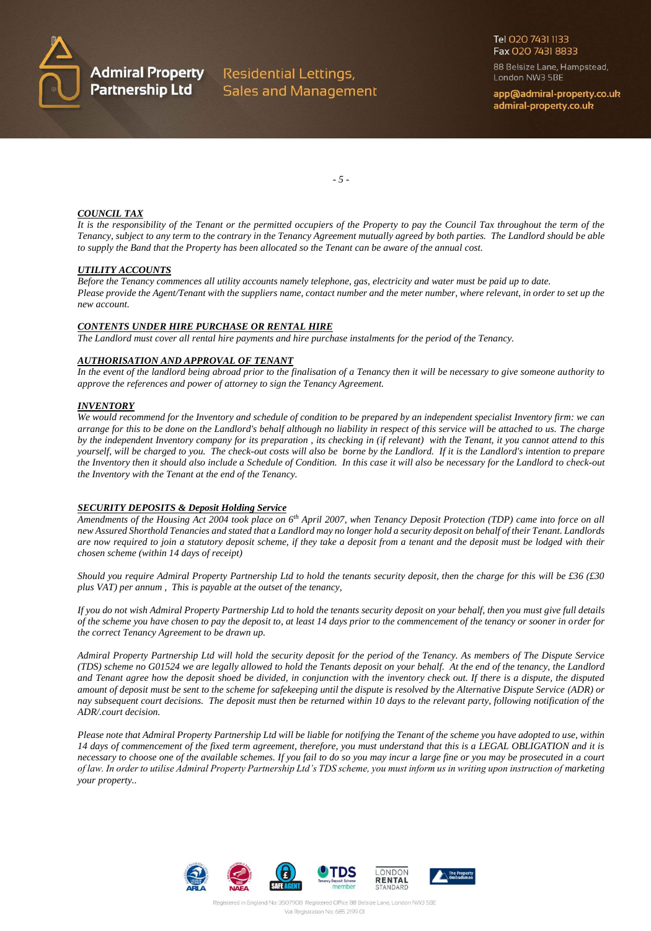

88 Belsize Lane, Hampstead, London NW3 5BE

app@admiral-property.co.uk admiral-property.co.uk

*- 5 -*

#### *COUNCIL TAX*

*It is the responsibility of the Tenant or the permitted occupiers of the Property to pay the Council Tax throughout the term of the Tenancy, subject to any term to the contrary in the Tenancy Agreement mutually agreed by both parties. The Landlord should be able to supply the Band that the Property has been allocated so the Tenant can be aware of the annual cost.*

#### *UTILITY ACCOUNTS*

*Before the Tenancy commences all utility accounts namely telephone, gas, electricity and water must be paid up to date. Please provide the Agent/Tenant with the suppliers name, contact number and the meter number, where relevant, in order to set up the new account.*

# *CONTENTS UNDER HIRE PURCHASE OR RENTAL HIRE*

*The Landlord must cover all rental hire payments and hire purchase instalments for the period of the Tenancy.*

#### *AUTHORISATION AND APPROVAL OF TENANT*

*In the event of the landlord being abroad prior to the finalisation of a Tenancy then it will be necessary to give someone authority to approve the references and power of attorney to sign the Tenancy Agreement.*

#### *INVENTORY*

*We would recommend for the Inventory and schedule of condition to be prepared by an independent specialist Inventory firm: we can arrange for this to be done on the Landlord's behalf although no liability in respect of this service will be attached to us. The charge by the independent Inventory company for its preparation , its checking in (if relevant) with the Tenant, it you cannot attend to this yourself, will be charged to you. The check-out costs will also be borne by the Landlord. If it is the Landlord's intention to prepare the Inventory then it should also include a Schedule of Condition. In this case it will also be necessary for the Landlord to check-out the Inventory with the Tenant at the end of the Tenancy.*

# *SECURITY DEPOSITS & Deposit Holding Service*

*Amendments of the Housing Act 2004 took place on 6th April 2007, when Tenancy Deposit Protection (TDP) came into force on all new Assured Shorthold Tenancies and stated that a Landlord may no longer hold a security deposit on behalf of their Tenant. Landlords are now required to join a statutory deposit scheme, if they take a deposit from a tenant and the deposit must be lodged with their chosen scheme (within 14 days of receipt)*

*Should you require Admiral Property Partnership Ltd to hold the tenants security deposit, then the charge for this will be £36 (£30 plus VAT) per annum , This is payable at the outset of the tenancy,*

*If you do not wish Admiral Property Partnership Ltd to hold the tenants security deposit on your behalf, then you must give full details of the scheme you have chosen to pay the deposit to, at least 14 days prior to the commencement of the tenancy or sooner in order for the correct Tenancy Agreement to be drawn up.*

*Admiral Property Partnership Ltd will hold the security deposit for the period of the Tenancy. As members of The Dispute Service (TDS) scheme no G01524 we are legally allowed to hold the Tenants deposit on your behalf. At the end of the tenancy, the Landlord and Tenant agree how the deposit shoed be divided, in conjunction with the inventory check out. If there is a dispute, the disputed amount of deposit must be sent to the scheme for safekeeping until the dispute is resolved by the Alternative Dispute Service (ADR) or nay subsequent court decisions. The deposit must then be returned within 10 days to the relevant party, following notification of the ADR/.court decision.*

*Please note that Admiral Property Partnership Ltd will be liable for notifying the Tenant of the scheme you have adopted to use, within 14 days of commencement of the fixed term agreement, therefore, you must understand that this is a LEGAL OBLIGATION and it is necessary to choose one of the available schemes. If you fail to do so you may incur a large fine or you may be prosecuted in a court of law. In order to utilise Admiral Property Partnership Ltd's TDS scheme, you must inform us in writing upon instruction of marketing your property..*

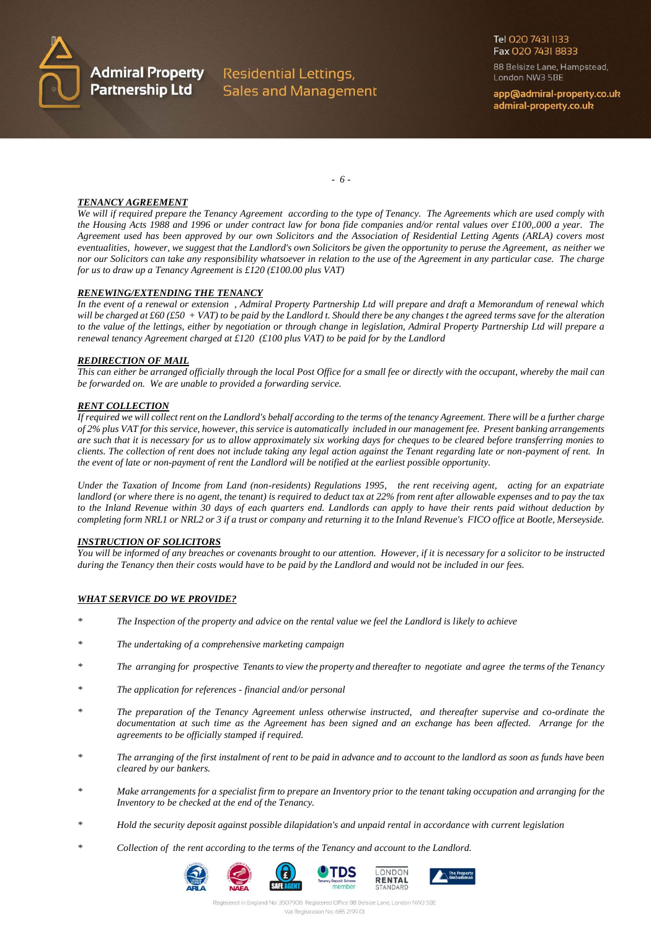

Tel 020 7431 1133 Fax 020 7431 8833

88 Belsize Lane, Hampstead, London NW3 5BE

app@admiral-property.co.uk admiral-property.co.uk

*- 6 -*

# *TENANCY AGREEMENT*

*We will if required prepare the Tenancy Agreement according to the type of Tenancy. The Agreements which are used comply with the Housing Acts 1988 and 1996 or under contract law for bona fide companies and/or rental values over £100,.000 a year. The Agreement used has been approved by our own Solicitors and the Association of Residential Letting Agents (ARLA) covers most eventualities, however, we suggest that the Landlord's own Solicitors be given the opportunity to peruse the Agreement, as neither we nor our Solicitors can take any responsibility whatsoever in relation to the use of the Agreement in any particular case. The charge for us to draw up a Tenancy Agreement is £120 (£100.00 plus VAT)*

# *RENEWING/EXTENDING THE TENANCY*

*In the event of a renewal or extension , Admiral Property Partnership Ltd will prepare and draft a Memorandum of renewal which will be charged at £60 (£50 + VAT) to be paid by the Landlord t. Should there be any changes t the agreed terms save for the alteration to the value of the lettings, either by negotiation or through change in legislation, Admiral Property Partnership Ltd will prepare a renewal tenancy Agreement charged at £120 (£100 plus VAT) to be paid for by the Landlord*

# *REDIRECTION OF MAIL*

*This can either be arranged officially through the local Post Office for a small fee or directly with the occupant, whereby the mail can be forwarded on. We are unable to provided a forwarding service.*

# *RENT COLLECTION*

*If required we will collect rent on the Landlord's behalf according to the terms of the tenancy Agreement. There will be a further charge of 2% plus VAT for this service, however, this service is automatically included in our management fee. Present banking arrangements are such that it is necessary for us to allow approximately six working days for cheques to be cleared before transferring monies to clients. The collection of rent does not include taking any legal action against the Tenant regarding late or non-payment of rent. In the event of late or non-payment of rent the Landlord will be notified at the earliest possible opportunity.*

*Under the Taxation of Income from Land (non-residents) Regulations 1995, the rent receiving agent, acting for an expatriate landlord (or where there is no agent, the tenant) is required to deduct tax at 22% from rent after allowable expenses and to pay the tax to the Inland Revenue within 30 days of each quarters end. Landlords can apply to have their rents paid without deduction by completing form NRL1 or NRL2 or 3 if a trust or company and returning it to the Inland Revenue's FICO office at Bootle, Merseyside.*

# *INSTRUCTION OF SOLICITORS*

*You will be informed of any breaches or covenants brought to our attention. However, if it is necessary for a solicitor to be instructed during the Tenancy then their costs would have to be paid by the Landlord and would not be included in our fees.*

# *WHAT SERVICE DO WE PROVIDE?*

- *\* The Inspection of the property and advice on the rental value we feel the Landlord is likely to achieve*
- *\* The undertaking of a comprehensive marketing campaign*
- *\* The arranging for prospective Tenants to view the property and thereafter to negotiate and agree the terms of the Tenancy*
- *\* The application for references - financial and/or personal*
- *\* The preparation of the Tenancy Agreement unless otherwise instructed, and thereafter supervise and co-ordinate the documentation at such time as the Agreement has been signed and an exchange has been affected. Arrange for the agreements to be officially stamped if required.*
- *\* The arranging of the first instalment of rent to be paid in advance and to account to the landlord as soon as funds have been cleared by our bankers.*
- *\* Make arrangements for a specialist firm to prepare an Inventory prior to the tenant taking occupation and arranging for the Inventory to be checked at the end of the Tenancy.*
- *\* Hold the security deposit against possible dilapidation's and unpaid rental in accordance with current legislation*
- *\* Collection of the rent according to the terms of the Tenancy and account to the Landlord.*





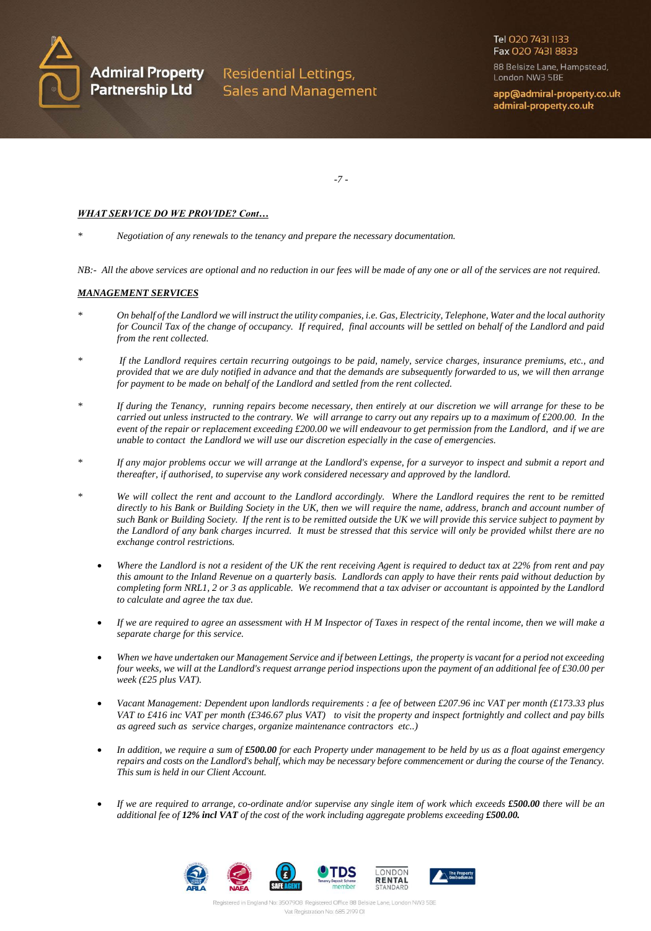

**Admiral Property** Residential Lettings, **Sales and Management**  Tel 020 7431 1133 Fax 020 7431 8833

88 Belsize Lane, Hampstead, London NW3 5BE

app@admiral-property.co.uk admiral-property.co.uk

*-7 -*

# *WHAT SERVICE DO WE PROVIDE? Cont…*

*\* Negotiation of any renewals to the tenancy and prepare the necessary documentation.*

*NB:- All the above services are optional and no reduction in our fees will be made of any one or all of the services are not required.*

# *MANAGEMENT SERVICES*

- *\* On behalf of the Landlord we will instruct the utility companies, i.e. Gas, Electricity, Telephone, Water and the local authority for Council Tax of the change of occupancy. If required, final accounts will be settled on behalf of the Landlord and paid from the rent collected.*
- *\* If the Landlord requires certain recurring outgoings to be paid, namely, service charges, insurance premiums, etc., and provided that we are duly notified in advance and that the demands are subsequently forwarded to us, we will then arrange for payment to be made on behalf of the Landlord and settled from the rent collected.*
- *\* If during the Tenancy, running repairs become necessary, then entirely at our discretion we will arrange for these to be carried out unless instructed to the contrary. We will arrange to carry out any repairs up to a maximum of £200.00. In the event of the repair or replacement exceeding £200.00 we will endeavour to get permission from the Landlord, and if we are unable to contact the Landlord we will use our discretion especially in the case of emergencies.*
- *\* If any major problems occur we will arrange at the Landlord's expense, for a surveyor to inspect and submit a report and thereafter, if authorised, to supervise any work considered necessary and approved by the landlord.*
- *\* We will collect the rent and account to the Landlord accordingly. Where the Landlord requires the rent to be remitted directly to his Bank or Building Society in the UK, then we will require the name, address, branch and account number of such Bank or Building Society. If the rent is to be remitted outside the UK we will provide this service subject to payment by the Landlord of any bank charges incurred. It must be stressed that this service will only be provided whilst there are no exchange control restrictions.*
	- *Where the Landlord is not a resident of the UK the rent receiving Agent is required to deduct tax at 22% from rent and pay this amount to the Inland Revenue on a quarterly basis. Landlords can apply to have their rents paid without deduction by completing form NRL1, 2 or 3 as applicable. We recommend that a tax adviser or accountant is appointed by the Landlord to calculate and agree the tax due.*
	- *If we are required to agree an assessment with H M Inspector of Taxes in respect of the rental income, then we will make a separate charge for this service.*
	- *When we have undertaken our Management Service and if between Lettings, the property is vacant for a period not exceeding four weeks, we will at the Landlord's request arrange period inspections upon the payment of an additional fee of £30.00 per week (£25 plus VAT).*
	- *Vacant Management: Dependent upon landlords requirements : a fee of between £207.96 inc VAT per month (£173.33 plus VAT to £416 inc VAT per month (£346.67 plus VAT) to visit the property and inspect fortnightly and collect and pay bills as agreed such as service charges, organize maintenance contractors etc..)*
	- *In addition, we require a sum of £500.00 for each Property under management to be held by us as a float against emergency repairs and costs on the Landlord's behalf, which may be necessary before commencement or during the course of the Tenancy. This sum is held in our Client Account.*
	- *If we are required to arrange, co-ordinate and/or supervise any single item of work which exceeds £500.00 there will be an additional fee of 12% incl VAT of the cost of the work including aggregate problems exceeding £500.00.*

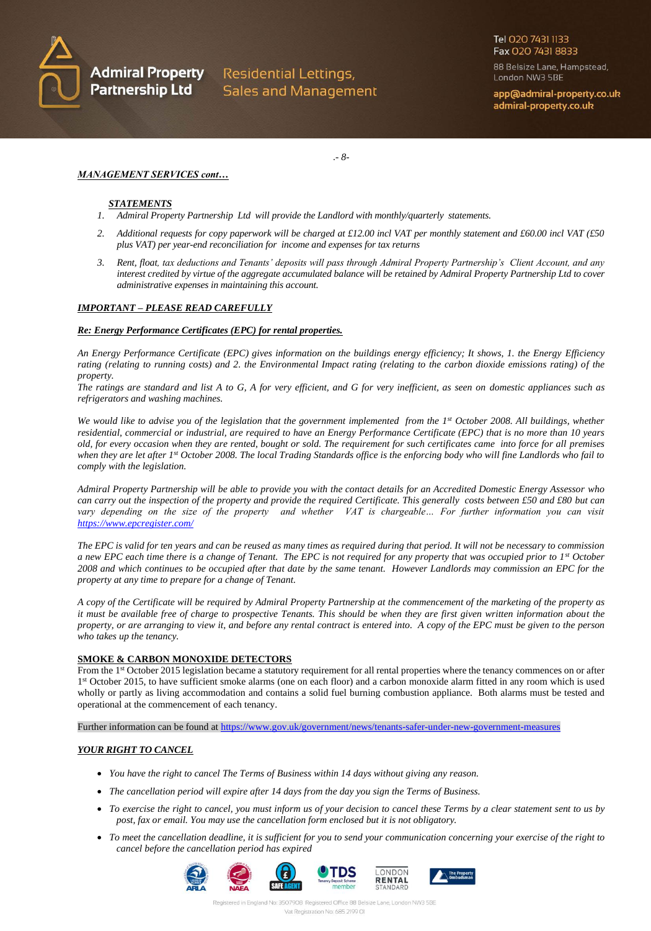

**Admiral Property** Residential Lettings, Partnership Ltd Sales and Management Tel 020 7431 1133 Fax 020 7431 8833

88 Belsize Lane, Hampstead, London NW3 5BE

app@admiral-property.co.uk admiral-property.co.uk

*MANAGEMENT SERVICES cont…*

# *STATEMENTS*

- *1. Admiral Property Partnership Ltd will provide the Landlord with monthly/quarterly statements.*
- *2. Additional requests for copy paperwork will be charged at £12.00 incl VAT per monthly statement and £60.00 incl VAT (£50 plus VAT) per year-end reconciliation for income and expenses for tax returns*

.*- 8-*

*3. Rent, float, tax deductions and Tenants' deposits will pass through Admiral Property Partnership's Client Account, and any interest credited by virtue of the aggregate accumulated balance will be retained by Admiral Property Partnership Ltd to cover administrative expenses in maintaining this account.*

# *IMPORTANT – PLEASE READ CAREFULLY*

#### *Re: Energy Performance Certificates (EPC) for rental properties.*

*An Energy Performance Certificate (EPC) gives information on the buildings energy efficiency; It shows, 1. the Energy Efficiency rating (relating to running costs) and 2. the Environmental Impact rating (relating to the carbon dioxide emissions rating) of the property.*

*The ratings are standard and list A to G, A for very efficient, and G for very inefficient, as seen on domestic appliances such as refrigerators and washing machines.*

*We would like to advise you of the legislation that the government implemented from the 1st October 2008. All buildings, whether residential, commercial or industrial, are required to have an Energy Performance Certificate (EPC) that is no more than 10 years old, for every occasion when they are rented, bought or sold. The requirement for such certificates came into force for all premises when they are let after 1st October 2008. The local Trading Standards office is the enforcing body who will fine Landlords who fail to comply with the legislation.*

*Admiral Property Partnership will be able to provide you with the contact details for an Accredited Domestic Energy Assessor who can carry out the inspection of the property and provide the required Certificate. This generally costs between £50 and £80 but can*  vary depending on the size of the property and whether VAT is chargeable... For further information you can visit *<https://www.epcregister.com/>*

*The EPC is valid for ten years and can be reused as many times as required during that period. It will not be necessary to commission a new EPC each time there is a change of Tenant. The EPC is not required for any property that was occupied prior to 1st October 2008 and which continues to be occupied after that date by the same tenant. However Landlords may commission an EPC for the property at any time to prepare for a change of Tenant.*

*A copy of the Certificate will be required by Admiral Property Partnership at the commencement of the marketing of the property as it must be available free of charge to prospective Tenants. This should be when they are first given written information about the property, or are arranging to view it, and before any rental contract is entered into. A copy of the EPC must be given to the person who takes up the tenancy.*

#### **SMOKE & CARBON MONOXIDE DETECTORS**

From the 1<sup>st</sup> October 2015 legislation became a statutory requirement for all rental properties where the tenancy commences on or after 1<sup>st</sup> October 2015, to have sufficient smoke alarms (one on each floor) and a carbon monoxide alarm fitted in any room which is used wholly or partly as living accommodation and contains a solid fuel burning combustion appliance. Both alarms must be tested and operational at the commencement of each tenancy.

Further information can be found at<https://www.gov.uk/government/news/tenants-safer-under-new-government-measures>

# *YOUR RIGHT TO CANCEL*

- *You have the right to cancel The Terms of Business within 14 days without giving any reason.*
- *The cancellation period will expire after 14 days from the day you sign the Terms of Business.*
- To exercise the right to cancel, you must inform us of your decision to cancel these Terms by a clear statement sent to us by *post, fax or email. You may use the cancellation form enclosed but it is not obligatory.*
- To meet the cancellation deadline, it is sufficient for you to send your communication concerning your exercise of the right to *cancel before the cancellation period has expired*

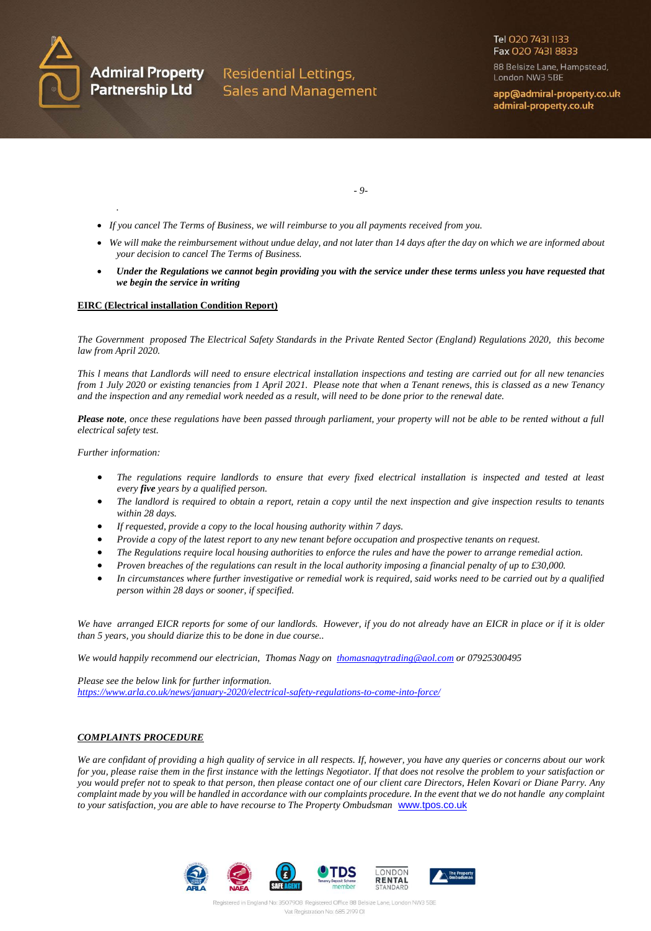

88 Belsize Lane, Hampstead, London NW3 5BE

app@admiral-property.co.uk admiral-property.co.uk

*- 9-*

- *If you cancel The Terms of Business, we will reimburse to you all payments received from you.*
- We will make the reimbursement without undue delay, and not later than 14 days after the day on which we are informed about *your decision to cancel The Terms of Business.*
- Under the Regulations we cannot begin providing you with the service under these terms unless you have requested that *we begin the service in writing*

#### **EIRC (Electrical installation Condition Report)**

*The Government proposed The Electrical Safety Standards in the Private Rented Sector (England) Regulations 2020, this become law from April 2020.*

*This l means that Landlords will need to ensure electrical installation inspections and testing are carried out for all new tenancies from 1 July 2020 or existing tenancies from 1 April 2021. Please note that when a Tenant renews, this is classed as a new Tenancy and the inspection and any remedial work needed as a result, will need to be done prior to the renewal date.*

*Please note, once these regulations have been passed through parliament, your property will not be able to be rented without a full electrical safety test.*

*Further information:*

*.*

- *The regulations require landlords to ensure that every fixed electrical installation is inspected and tested at least every five years by a qualified person.*
- *The landlord is required to obtain a report, retain a copy until the next inspection and give inspection results to tenants within 28 days.*
- *If requested, provide a copy to the local housing authority within 7 days.*
- *Provide a copy of the latest report to any new tenant before occupation and prospective tenants on request.*
- *The Regulations require local housing authorities to enforce the rules and have the power to arrange remedial action.*
- *Proven breaches of the regulations can result in the local authority imposing a financial penalty of up to £30,000.*
- *In circumstances where further investigative or remedial work is required, said works need to be carried out by a qualified person within 28 days or sooner, if specified.*

*We have arranged EICR reports for some of our landlords. However, if you do not already have an EICR in place or if it is older than 5 years, you should diarize this to be done in due course..*

*We would happily recommend our electrician, Thomas Nagy on [thomasnagytrading@aol.com](mailto:thomasnagytrading@aol.com) or 07925300495*

*Please see the below link for further information. <https://www.arla.co.uk/news/january-2020/electrical-safety-regulations-to-come-into-force/>*

#### *COMPLAINTS PROCEDURE*

*We are confidant of providing a high quality of service in all respects. If, however, you have any queries or concerns about our work for you, please raise them in the first instance with the lettings Negotiator. If that does not resolve the problem to your satisfaction or you would prefer not to speak to that person, then please contact one of our client care Directors, Helen Kovari or Diane Parry. Any complaint made by you will be handled in accordance with our complaints procedure. In the event that we do not handle any complaint to your satisfaction, you are able to have recourse to The Property Ombudsman* [www.tpos.co.uk](http://www.tpos.co.uk/)